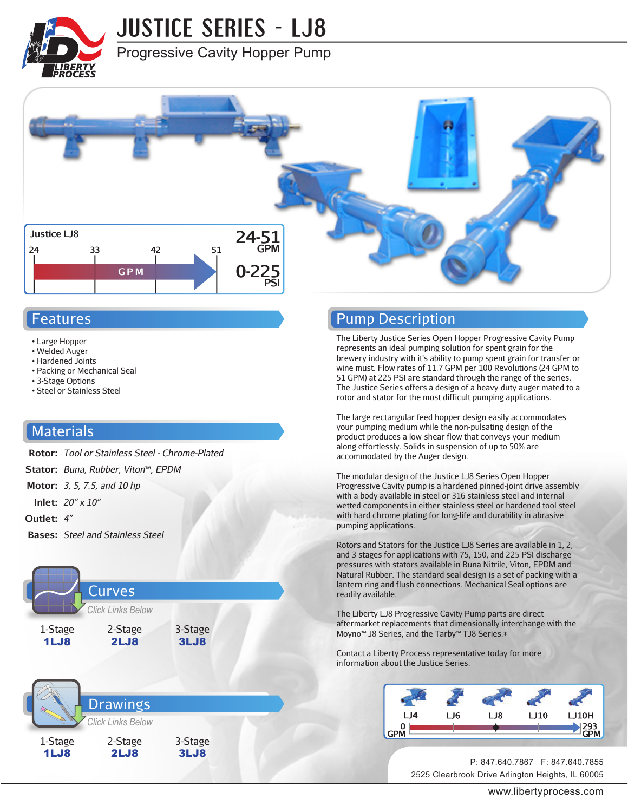

## **JUSTICE SERIES - LJ8**

#### Progressive Cavity Hopper Pump



#### Features

- Large Hopper
- Welded Auger
- Hardened Joints
- Packing or Mechanical Seal
- 3-Stage Options
- Steel or Stainless Steel

#### **Materials**

- **Rotor:** *Tool or Stainless Steel Chrome-Plated* **Stator:** *Buna, Rubber, Viton*™*, EPDM* **Motor:** *3, 5, 7.5, and 10 hp* **Inlet:** *20" x 10"* **Outlet:** *4"*
- **Bases:** *Steel and Stainless Steel*





#### Pump Description

The Liberty Justice Series Open Hopper Progressive Cavity Pump represents an ideal pumping solution for spent grain for the brewery industry with it's ability to pump spent grain for transfer or wine must. Flow rates of 11.7 GPM per 100 Revolutions (24 GPM to 51 GPM) at 225 PSI are standard through the range of the series. The Justice Series offers a design of a heavy-duty auger mated to a rotor and stator for the most difficult pumping applications.

The large rectangular feed hopper design easily accommodates your pumping medium while the non-pulsating design of the product produces a low-shear flow that conveys your medium along effortlessly. Solids in suspension of up to 50% are accommodated by the Auger design.

The modular design of the Justice LJ8 Series Open Hopper Progressive Cavity pump is a hardened pinned-joint drive assembly with a body available in steel or 316 stainless steel and internal wetted components in either stainless steel or hardened tool steel with hard chrome plating for long-life and durability in abrasive pumping applications.

Rotors and Stators for the Justice LJ8 Series are available in 1, 2, and 3 stages for applications with 75, 150, and 225 PSI discharge pressures with stators available in Buna Nitrile, Viton, EPDM and Natural Rubber. The standard seal design is a set of packing with a lantern ring and flush connections. Mechanical Seal options are readily available.

The Liberty LJ8 Progressive Cavity Pump parts are direct aftermarket replacements that dimensionally interchange with the Moyno™ J8 Series, and the Tarby™ TJ8 Series.\*

Contact a Liberty Process representative today for more information about the Justice Series.

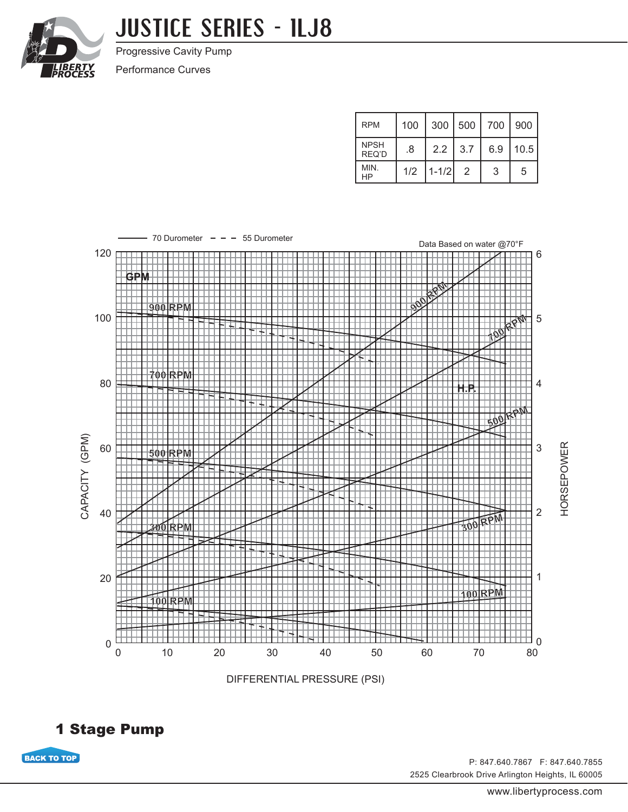

## **JUSTICE SERIES - 1LJ8**

Progressive Cavity Pump

Performance Curves

| <b>RPM</b>           | 100 |           |               | 300   500   700   900 |      |
|----------------------|-----|-----------|---------------|-----------------------|------|
| <b>NPSH</b><br>REQ'D | .8  | 2.2       | 3.7           | 6.9                   | 10.5 |
| MIN.<br>HP           | 1/2 | $1 - 1/2$ | $\mathcal{P}$ | 3                     | 5    |



DIFFERENTIAL PRESSURE (PSI)



**BACK TO TOP**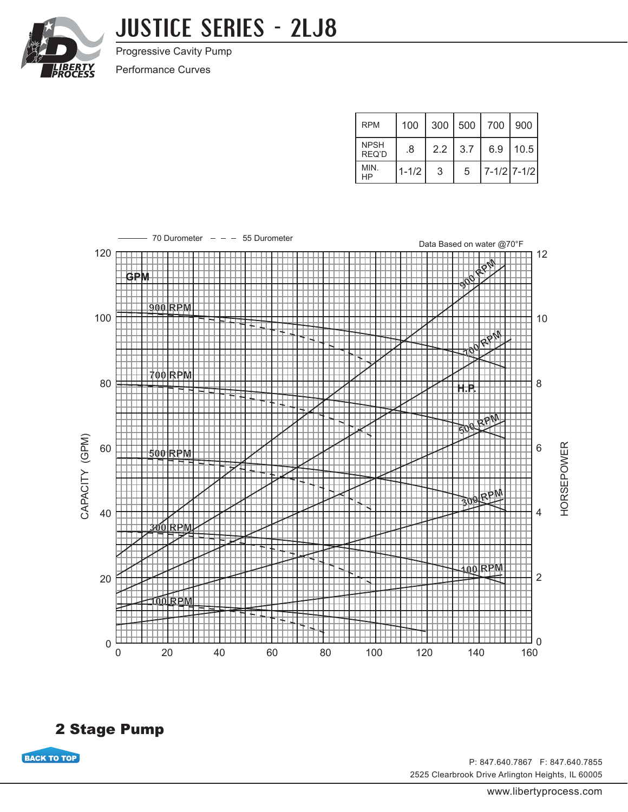

## **JUSTICE SERIES - 2LJ8**

Progressive Cavity Pump

Performance Curves

| <b>RPM</b>           | 100       |     | 300   500 | 700   900   |      |
|----------------------|-----------|-----|-----------|-------------|------|
| <b>NPSH</b><br>REQ'D | .8        | 2.2 | 3.7       | 6.9         | 10.5 |
| MIN.<br>HP           | $1 - 1/2$ | 3   | 5         | 7-1/2 7-1/2 |      |



2 Stage Pump

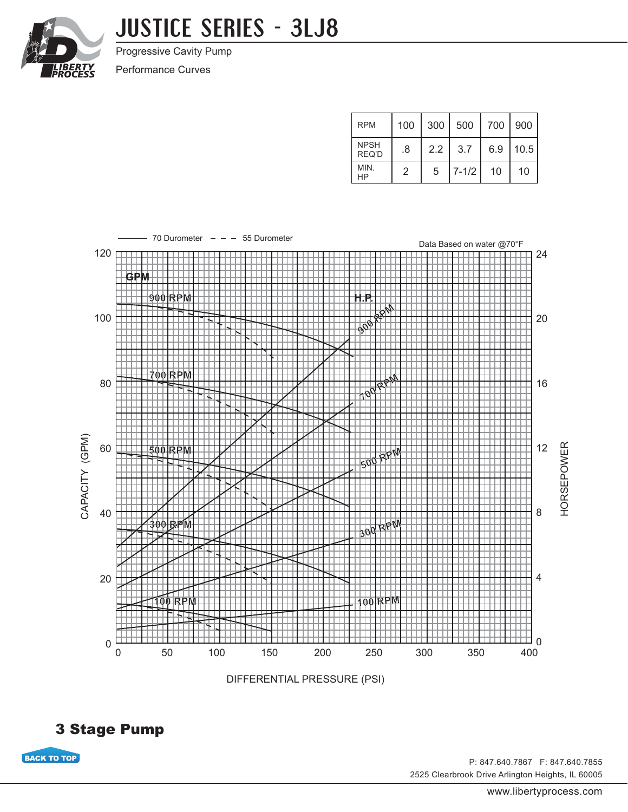

## **JUSTICE SERIES - 3LJ8**

Progressive Cavity Pump

Performance Curves

| <b>RPM</b>           | 100 | 300 | $\vert$ 500 | 700 | $\mid$ 900 |
|----------------------|-----|-----|-------------|-----|------------|
| <b>NPSH</b><br>REQ'D | .8  | 2.2 | 3.7         | 6.9 | 10.5       |
| MIN.<br>ΗP           | 2   | 5   | $7 - 1/2$   | 10  | 10         |



DIFFERENTIAL PRESSURE (PSI)



**BACK TO TOP**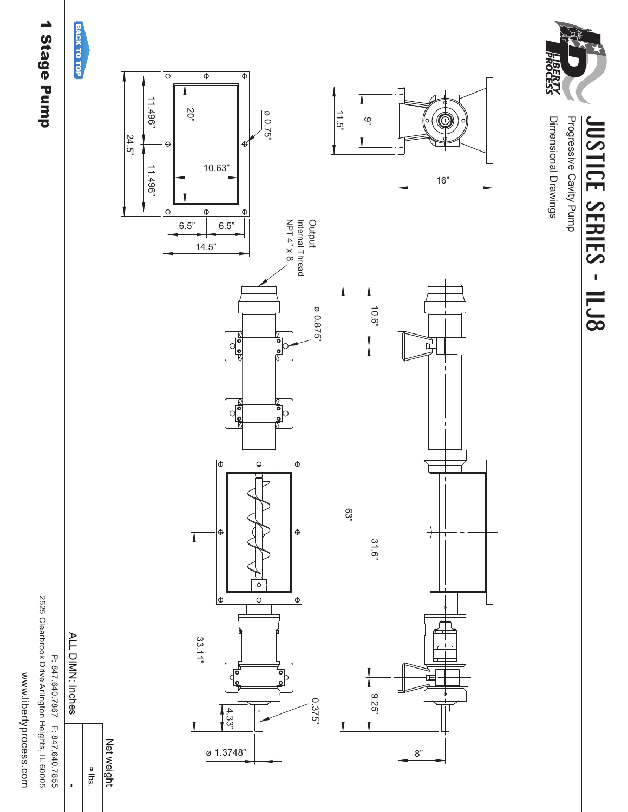www.libertyprocess.com

2525 Clearbrook Drive Arlington Heights, IL 60005

P: 847.640.7867 F: 847.640.7855

ALL DIMN: Inches

 $\ddot{\phantom{0}}$ 

## 1 Stage Pump







Dimensional Drawings Progressive Cavity Pump

JUSTICE SERIES - ILJ8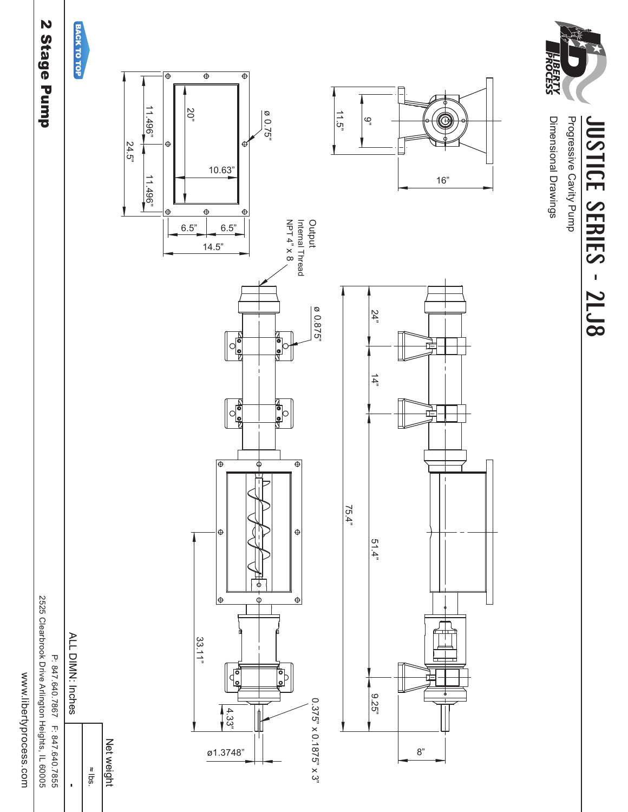www.libertyprocess.com

2525 Clearbrook Drive Arlington Heights, IL 60005 P: 847.640.7867 F: 847.640.7855

ALL DIMN: Inches

 $rac{1}{2}$ 

 $\ddot{\phantom{0}}$ 

2 Stage Pump







Progressive Cavity Pump **JUSTICE SERIES - 2LJ8** 

咱

 $16"$ 

Dimensional Drawings